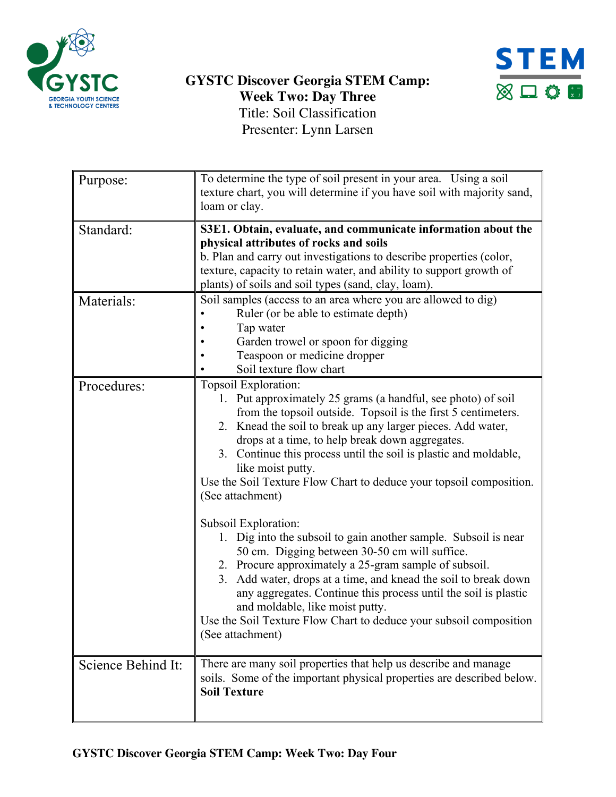



| Purpose:           | To determine the type of soil present in your area. Using a soil<br>texture chart, you will determine if you have soil with majority sand,<br>loam or clay.                                                                                                                                                                                                                                                                                                          |
|--------------------|----------------------------------------------------------------------------------------------------------------------------------------------------------------------------------------------------------------------------------------------------------------------------------------------------------------------------------------------------------------------------------------------------------------------------------------------------------------------|
| Standard:          | S3E1. Obtain, evaluate, and communicate information about the<br>physical attributes of rocks and soils<br>b. Plan and carry out investigations to describe properties (color,<br>texture, capacity to retain water, and ability to support growth of<br>plants) of soils and soil types (sand, clay, loam).                                                                                                                                                         |
| Materials:         | Soil samples (access to an area where you are allowed to dig)<br>Ruler (or be able to estimate depth)<br>Tap water<br>Garden trowel or spoon for digging<br>Teaspoon or medicine dropper<br>Soil texture flow chart                                                                                                                                                                                                                                                  |
| Procedures:        | Topsoil Exploration:<br>1. Put approximately 25 grams (a handful, see photo) of soil<br>from the topsoil outside. Topsoil is the first 5 centimeters.<br>2. Knead the soil to break up any larger pieces. Add water,<br>drops at a time, to help break down aggregates.<br>3. Continue this process until the soil is plastic and moldable,<br>like moist putty.<br>Use the Soil Texture Flow Chart to deduce your topsoil composition.<br>(See attachment)          |
|                    | Subsoil Exploration:<br>1. Dig into the subsoil to gain another sample. Subsoil is near<br>50 cm. Digging between 30-50 cm will suffice.<br>2. Procure approximately a 25-gram sample of subsoil.<br>3. Add water, drops at a time, and knead the soil to break down<br>any aggregates. Continue this process until the soil is plastic<br>and moldable, like moist putty.<br>Use the Soil Texture Flow Chart to deduce your subsoil composition<br>(See attachment) |
| Science Behind It: | There are many soil properties that help us describe and manage<br>soils. Some of the important physical properties are described below.<br><b>Soil Texture</b>                                                                                                                                                                                                                                                                                                      |